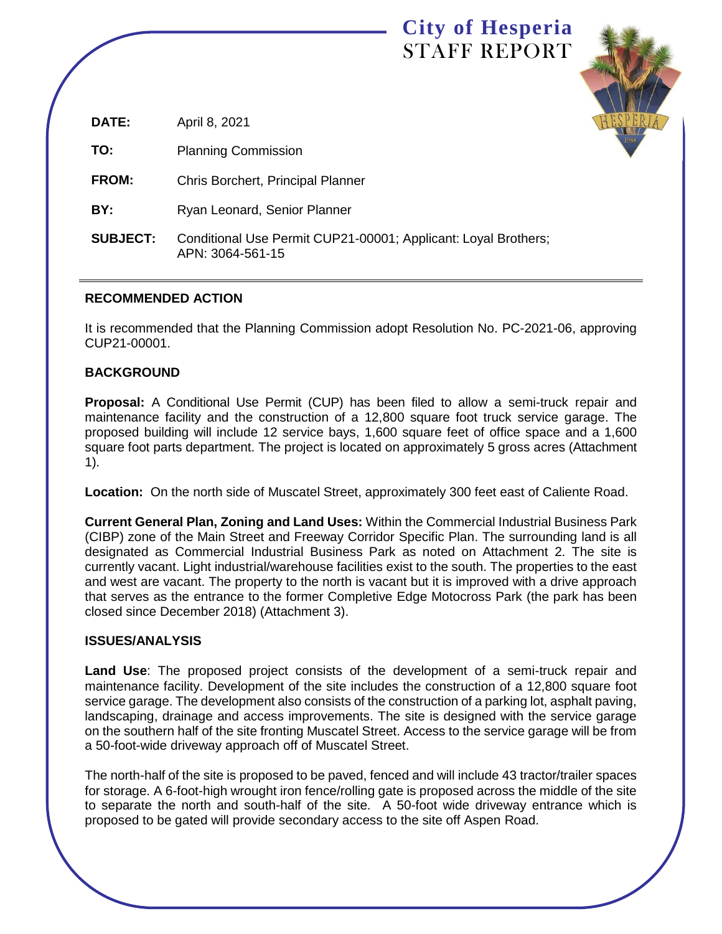# **City of Hesperia** STAFF REPORT



| DATE:           | April 8, 2021                                                                      |
|-----------------|------------------------------------------------------------------------------------|
| TO:             | <b>Planning Commission</b>                                                         |
| <b>FROM:</b>    | Chris Borchert, Principal Planner                                                  |
| BY:             | Ryan Leonard, Senior Planner                                                       |
| <b>SUBJECT:</b> | Conditional Use Permit CUP21-00001; Applicant: Loyal Brothers;<br>APN: 3064-561-15 |

### **RECOMMENDED ACTION**

It is recommended that the Planning Commission adopt Resolution No. PC-2021-06, approving CUP21-00001.

Ī

### **BACKGROUND**

**Proposal:** A Conditional Use Permit (CUP) has been filed to allow a semi-truck repair and maintenance facility and the construction of a 12,800 square foot truck service garage. The proposed building will include 12 service bays, 1,600 square feet of office space and a 1,600 square foot parts department. The project is located on approximately 5 gross acres (Attachment 1).

**Location:** On the north side of Muscatel Street, approximately 300 feet east of Caliente Road.

**Current General Plan, Zoning and Land Uses:** Within the Commercial Industrial Business Park (CIBP) zone of the Main Street and Freeway Corridor Specific Plan. The surrounding land is all designated as Commercial Industrial Business Park as noted on Attachment 2. The site is currently vacant. Light industrial/warehouse facilities exist to the south. The properties to the east and west are vacant. The property to the north is vacant but it is improved with a drive approach that serves as the entrance to the former Completive Edge Motocross Park (the park has been closed since December 2018) (Attachment 3).

### **ISSUES/ANALYSIS**

**Land Use**: The proposed project consists of the development of a semi-truck repair and maintenance facility. Development of the site includes the construction of a 12,800 square foot service garage. The development also consists of the construction of a parking lot, asphalt paving, landscaping, drainage and access improvements. The site is designed with the service garage on the southern half of the site fronting Muscatel Street. Access to the service garage will be from a 50-foot-wide driveway approach off of Muscatel Street.

The north-half of the site is proposed to be paved, fenced and will include 43 tractor/trailer spaces for storage. A 6-foot-high wrought iron fence/rolling gate is proposed across the middle of the site to separate the north and south-half of the site. A 50-foot wide driveway entrance which is proposed to be gated will provide secondary access to the site off Aspen Road.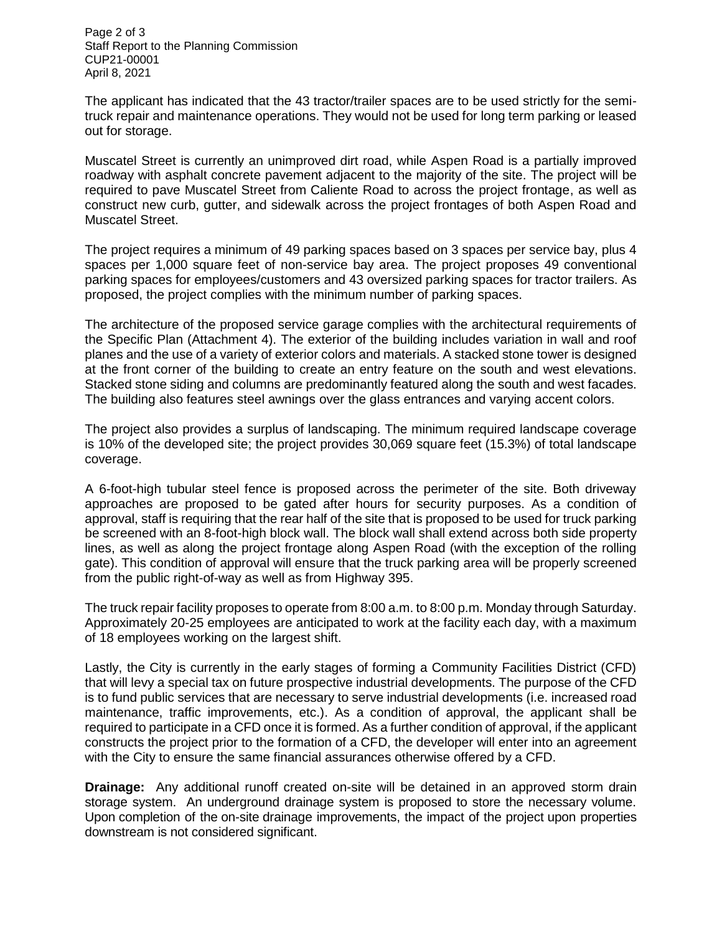Page 2 of 3 Staff Report to the Planning Commission CUP21-00001 April 8, 2021

The applicant has indicated that the 43 tractor/trailer spaces are to be used strictly for the semitruck repair and maintenance operations. They would not be used for long term parking or leased out for storage.

Muscatel Street is currently an unimproved dirt road, while Aspen Road is a partially improved roadway with asphalt concrete pavement adjacent to the majority of the site. The project will be required to pave Muscatel Street from Caliente Road to across the project frontage, as well as construct new curb, gutter, and sidewalk across the project frontages of both Aspen Road and Muscatel Street.

The project requires a minimum of 49 parking spaces based on 3 spaces per service bay, plus 4 spaces per 1,000 square feet of non-service bay area. The project proposes 49 conventional parking spaces for employees/customers and 43 oversized parking spaces for tractor trailers. As proposed, the project complies with the minimum number of parking spaces.

The architecture of the proposed service garage complies with the architectural requirements of the Specific Plan (Attachment 4). The exterior of the building includes variation in wall and roof planes and the use of a variety of exterior colors and materials. A stacked stone tower is designed at the front corner of the building to create an entry feature on the south and west elevations. Stacked stone siding and columns are predominantly featured along the south and west facades. The building also features steel awnings over the glass entrances and varying accent colors.

The project also provides a surplus of landscaping. The minimum required landscape coverage is 10% of the developed site; the project provides 30,069 square feet (15.3%) of total landscape coverage.

A 6-foot-high tubular steel fence is proposed across the perimeter of the site. Both driveway approaches are proposed to be gated after hours for security purposes. As a condition of approval, staff is requiring that the rear half of the site that is proposed to be used for truck parking be screened with an 8-foot-high block wall. The block wall shall extend across both side property lines, as well as along the project frontage along Aspen Road (with the exception of the rolling gate). This condition of approval will ensure that the truck parking area will be properly screened from the public right-of-way as well as from Highway 395.

The truck repair facility proposes to operate from 8:00 a.m. to 8:00 p.m. Monday through Saturday. Approximately 20-25 employees are anticipated to work at the facility each day, with a maximum of 18 employees working on the largest shift.

Lastly, the City is currently in the early stages of forming a Community Facilities District (CFD) that will levy a special tax on future prospective industrial developments. The purpose of the CFD is to fund public services that are necessary to serve industrial developments (i.e. increased road maintenance, traffic improvements, etc.). As a condition of approval, the applicant shall be required to participate in a CFD once it is formed. As a further condition of approval, if the applicant constructs the project prior to the formation of a CFD, the developer will enter into an agreement with the City to ensure the same financial assurances otherwise offered by a CFD.

**Drainage:** Any additional runoff created on-site will be detained in an approved storm drain storage system. An underground drainage system is proposed to store the necessary volume. Upon completion of the on-site drainage improvements, the impact of the project upon properties downstream is not considered significant.